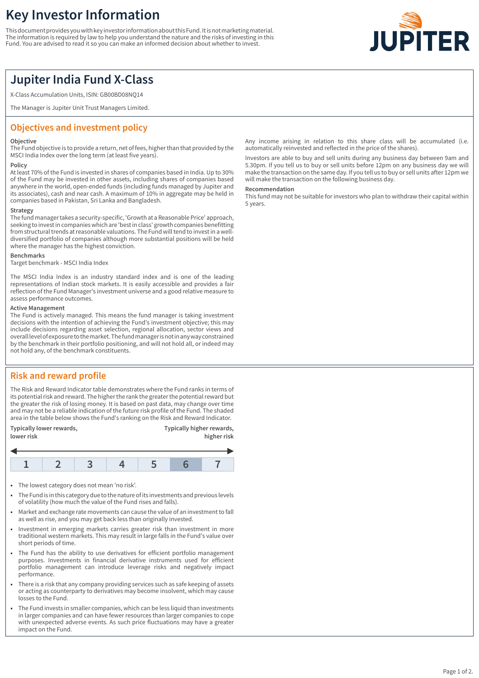# **Key Investor Information**

This document provides you with key investor information about this Fund. It is not marketing material. The information is required by law to help you understand the nature and the risks of investing in this Fund. You are advised to read it so you can make an informed decision about whether to invest.



## **Jupiter India Fund X-Class**

X-Class Accumulation Units, ISIN: GB00BD08NQ14

The Manager is Jupiter Unit Trust Managers Limited.

## **Objectives and investment policy**

#### **Objective**

The Fund objective is to provide a return, net of fees, higher than that provided by the MSCI India Index over the long term (at least five years).

#### **Policy**

At least 70% of the Fund is invested in shares of companies based in India. Up to 30% of the Fund may be invested in other assets, including shares of companies based anywhere in the world, open-ended funds (including funds managed by Jupiter and its associates), cash and near cash. A maximum of 10% in aggregate may be held in companies based in Pakistan, Sri Lanka and Bangladesh.

#### **Strategy**

The fund manager takes a security-specific, 'Growth at a Reasonable Price' approach, seeking to invest in companies which are 'best in class' growth companies benefitting from structural trends at reasonable valuations. The Fund will tend to invest in a welldiversified portfolio of companies although more substantial positions will be held where the manager has the highest conviction.

#### **Benchmarks**

Target benchmark - MSCI India Index

The MSCI India Index is an industry standard index and is one of the leading representations of Indian stock markets. It is easily accessible and provides a fair reflection of the Fund Manager's investment universe and a good relative measure to assess performance outcomes.

#### **Active Management**

The Fund is actively managed. This means the fund manager is taking investment decisions with the intention of achieving the Fund's investment objective; this may include decisions regarding asset selection, regional allocation, sector views and overall level of exposure to the market. The fund manager is not in any way constrained by the benchmark in their portfolio positioning, and will not hold all, or indeed may not hold any, of the benchmark constituents.

## **Risk and reward profile**

The Risk and Reward Indicator table demonstrates where the Fund ranks in terms of its potential risk and reward. The higher the rank the greater the potential reward but the greater the risk of losing money. It is based on past data, may change over time and may not be a reliable indication of the future risk profile of the Fund. The shaded area in the table below shows the Fund's ranking on the Risk and Reward Indicator.

| Typically lower rewards, | Typically higher rewards, |
|--------------------------|---------------------------|
| lower risk               | higher risk               |

- 1 The lowest category does not mean 'no risk'.
- 1 The Fund is in this category due to the nature of its investments and previous levels of volatility (how much the value of the Fund rises and falls).
- Market and exchange rate movements can cause the value of an investment to fall as well as rise, and you may get back less than originally invested.
- 1 Investment in emerging markets carries greater risk than investment in more traditional western markets. This may result in large falls in the Fund's value over short periods of time.
- The Fund has the ability to use derivatives for efficient portfolio management purposes. Investments in financial derivative instruments used for efficient portfolio management can introduce leverage risks and negatively impact performance.
- There is a risk that any company providing services such as safe keeping of assets or acting as counterparty to derivatives may become insolvent, which may cause losses to the Fund.
- 1 The Fund invests in smaller companies, which can be less liquid than investments in larger companies and can have fewer resources than larger companies to cope with unexpected adverse events. As such price fluctuations may have a greater impact on the Fund.

Any income arising in relation to this share class will be accumulated (i.e. automatically reinvested and reflected in the price of the shares).

Investors are able to buy and sell units during any business day between 9am and 5.30pm. If you tell us to buy or sell units before 12pm on any business day we will make the transaction on the same day. If you tell us to buy or sell units after 12pm we will make the transaction on the following business day.

#### **Recommendation**

This fund may not be suitable for investors who plan to withdraw their capital within 5 years.